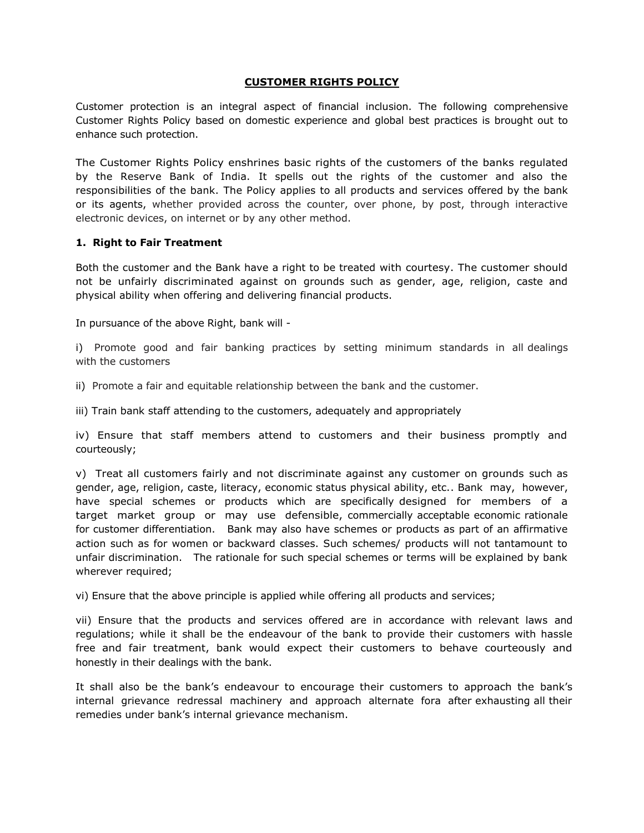#### **CUSTOMER RIGHTS POLICY**

Customer protection is an integral aspect of financial inclusion. The following comprehensive Customer Rights Policy based on domestic experience and global best practices is brought out to enhance such protection.

The Customer Rights Policy enshrines basic rights of the customers of the banks regulated by the Reserve Bank of India. It spells out the rights of the customer and also the responsibilities of the bank. The Policy applies to all products and services offered by the bank or its agents, whether provided across the counter, over phone, by post, through interactive electronic devices, on internet or by any other method.

#### **1. Right to Fair Treatment**

Both the customer and the Bank have a right to be treated with courtesy. The customer should not be unfairly discriminated against on grounds such as gender, age, religion, caste and physical ability when offering and delivering financial products.

In pursuance of the above Right, bank will -

i) Promote good and fair banking practices by setting minimum standards in all dealings with the customers

ii) Promote a fair and equitable relationship between the bank and the customer.

iii) Train bank staff attending to the customers, adequately and appropriately

iv) Ensure that staff members attend to customers and their business promptly and courteously;

v) Treat all customers fairly and not discriminate against any customer on grounds such as gender, age, religion, caste, literacy, economic status physical ability, etc.. Bank may, however, have special schemes or products which are specifically designed for members of a target market group or may use defensible, commercially acceptable economic rationale for customer differentiation. Bank may also have schemes or products as part of an affirmative action such as for women or backward classes. Such schemes/ products will not tantamount to unfair discrimination. The rationale for such special schemes or terms will be explained by bank wherever required;

vi) Ensure that the above principle is applied while offering all products and services;

vii) Ensure that the products and services offered are in accordance with relevant laws and regulations; while it shall be the endeavour of the bank to provide their customers with hassle free and fair treatment, bank would expect their customers to behave courteously and honestly in their dealings with the bank.

It shall also be the bank's endeavour to encourage their customers to approach the bank's internal grievance redressal machinery and approach alternate fora after exhausting all their remedies under bank's internal grievance mechanism.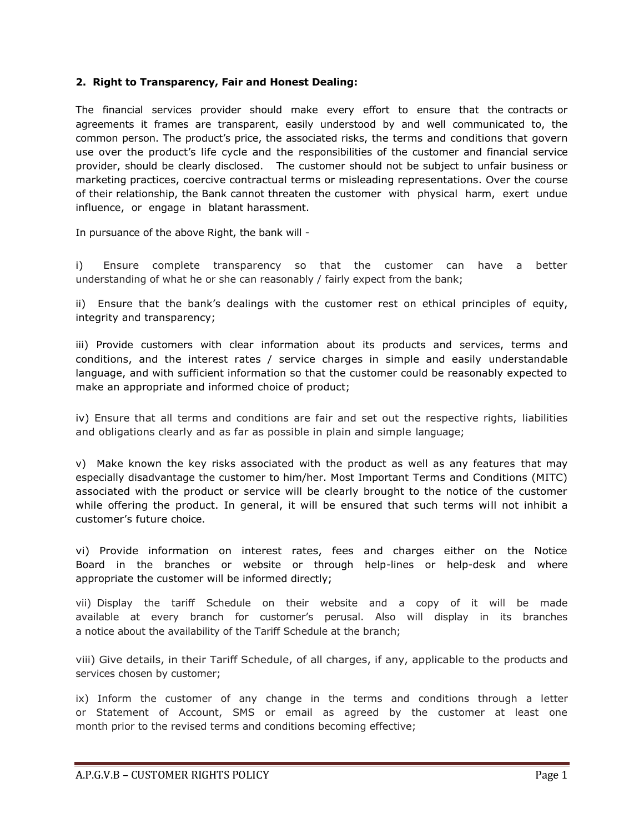### **2. Right to Transparency, Fair and Honest Dealing:**

The financial services provider should make every effort to ensure that the contracts or agreements it frames are transparent, easily understood by and well communicated to, the common person. The product's price, the associated risks, the terms and conditions that govern use over the product's life cycle and the responsibilities of the customer and financial service provider, should be clearly disclosed. The customer should not be subject to unfair business or marketing practices, coercive contractual terms or misleading representations. Over the course of their relationship, the Bank cannot threaten the customer with physical harm, exert undue influence, or engage in blatant harassment.

In pursuance of the above Right, the bank will -

i) Ensure complete transparency so that the customer can have a better understanding of what he or she can reasonably / fairly expect from the bank;

ii) Ensure that the bank's dealings with the customer rest on ethical principles of equity, integrity and transparency;

iii) Provide customers with clear information about its products and services, terms and conditions, and the interest rates / service charges in simple and easily understandable language, and with sufficient information so that the customer could be reasonably expected to make an appropriate and informed choice of product;

iv) Ensure that all terms and conditions are fair and set out the respective rights, liabilities and obligations clearly and as far as possible in plain and simple language;

v) Make known the key risks associated with the product as well as any features that may especially disadvantage the customer to him/her. Most Important Terms and Conditions (MITC) associated with the product or service will be clearly brought to the notice of the customer while offering the product. In general, it will be ensured that such terms will not inhibit a customer's future choice.

vi) Provide information on interest rates, fees and charges either on the Notice Board in the branches or website or through help-lines or help-desk and where appropriate the customer will be informed directly;

vii) Display the tariff Schedule on their website and a copy of it will be made available at every branch for customer's perusal. Also will display in its branches a notice about the availability of the Tariff Schedule at the branch;

viii) Give details, in their Tariff Schedule, of all charges, if any, applicable to the products and services chosen by customer;

ix) Inform the customer of any change in the terms and conditions through a letter or Statement of Account, SMS or email as agreed by the customer at least one month prior to the revised terms and conditions becoming effective;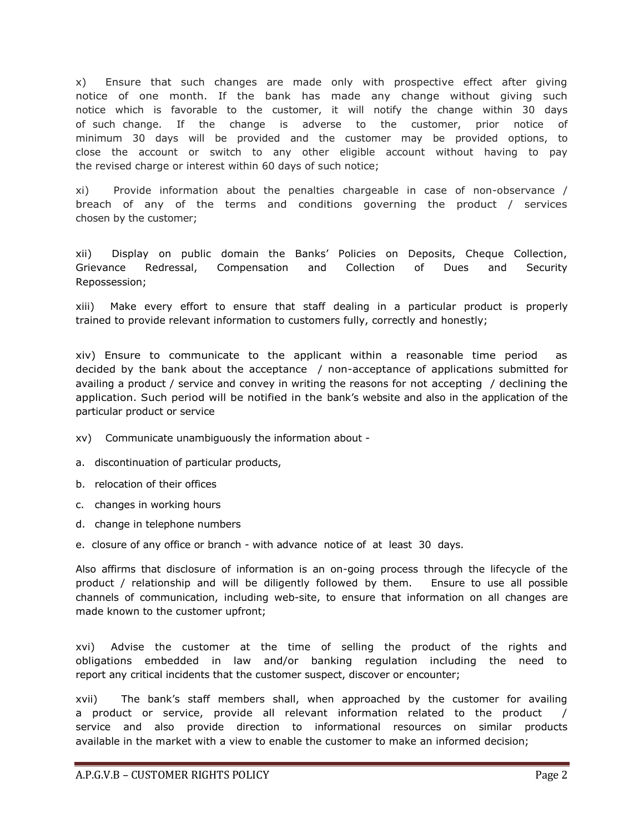x) Ensure that such changes are made only with prospective effect after giving notice of one month. If the bank has made any change without giving such notice which is favorable to the customer, it will notify the change within 30 days of such change. If the change is adverse to the customer, prior notice of minimum 30 days will be provided and the customer may be provided options, to close the account or switch to any other eligible account without having to pay the revised charge or interest within 60 days of such notice;

xi) Provide information about the penalties chargeable in case of non-observance / breach of any of the terms and conditions governing the product / services chosen by the customer;

xii) Display on public domain the Banks' Policies on Deposits, Cheque Collection, Grievance Redressal, Compensation and Collection of Dues and Security Repossession;

xiii) Make every effort to ensure that staff dealing in a particular product is properly trained to provide relevant information to customers fully, correctly and honestly;

xiv) Ensure to communicate to the applicant within a reasonable time period as decided by the bank about the acceptance / non-acceptance of applications submitted for availing a product / service and convey in writing the reasons for not accepting / declining the application. Such period will be notified in the bank's website and also in the application of the particular product or service

xv) Communicate unambiguously the information about -

- a. discontinuation of particular products,
- b. relocation of their offices
- c. changes in working hours
- d. change in telephone numbers
- e. closure of any office or branch with advance notice of at least 30 days.

Also affirms that disclosure of information is an on-going process through the lifecycle of the product / relationship and will be diligently followed by them. Ensure to use all possible channels of communication, including web-site, to ensure that information on all changes are made known to the customer upfront;

xvi) Advise the customer at the time of selling the product of the rights and obligations embedded in law and/or banking regulation including the need to report any critical incidents that the customer suspect, discover or encounter;

xvii) The bank's staff members shall, when approached by the customer for availing a product or service, provide all relevant information related to the product service and also provide direction to informational resources on similar products available in the market with a view to enable the customer to make an informed decision;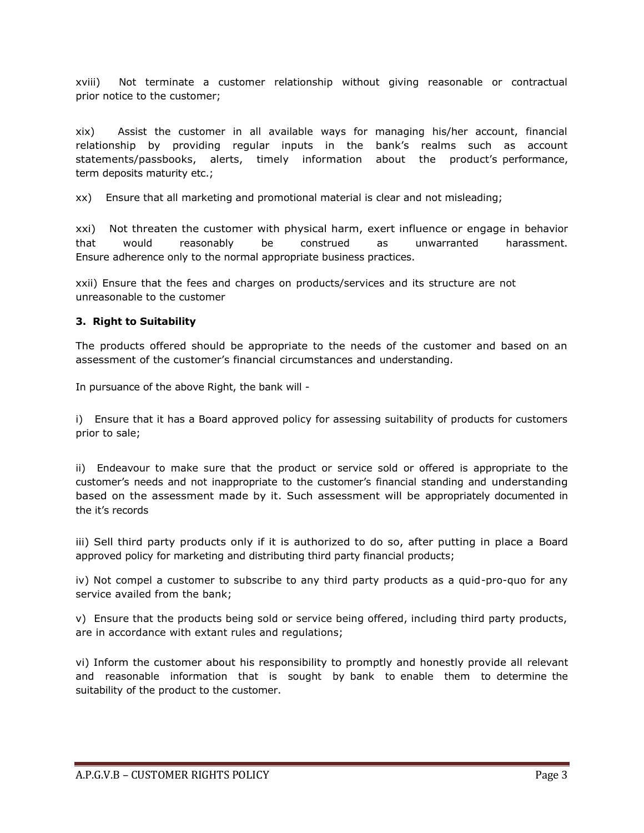xviii) Not terminate a customer relationship without giving reasonable or contractual prior notice to the customer;

xix) Assist the customer in all available ways for managing his/her account, financial relationship by providing regular inputs in the bank's realms such as account statements/passbooks, alerts, timely information about the product's performance, term deposits maturity etc.;

xx) Ensure that all marketing and promotional material is clear and not misleading;

xxi) Not threaten the customer with physical harm, exert influence or engage in behavior that would reasonably be construed as unwarranted harassment. Ensure adherence only to the normal appropriate business practices.

xxii) Ensure that the fees and charges on products/services and its structure are not unreasonable to the customer

## **3. Right to Suitability**

The products offered should be appropriate to the needs of the customer and based on an assessment of the customer's financial circumstances and understanding.

In pursuance of the above Right, the bank will -

i) Ensure that it has a Board approved policy for assessing suitability of products for customers prior to sale;

ii) Endeavour to make sure that the product or service sold or offered is appropriate to the customer's needs and not inappropriate to the customer's financial standing and understanding based on the assessment made by it. Such assessment will be appropriately documented in the it's records

iii) Sell third party products only if it is authorized to do so, after putting in place a Board approved policy for marketing and distributing third party financial products;

iv) Not compel a customer to subscribe to any third party products as a quid-pro-quo for any service availed from the bank;

v) Ensure that the products being sold or service being offered, including third party products, are in accordance with extant rules and regulations;

vi) Inform the customer about his responsibility to promptly and honestly provide all relevant and reasonable information that is sought by bank to enable them to determine the suitability of the product to the customer.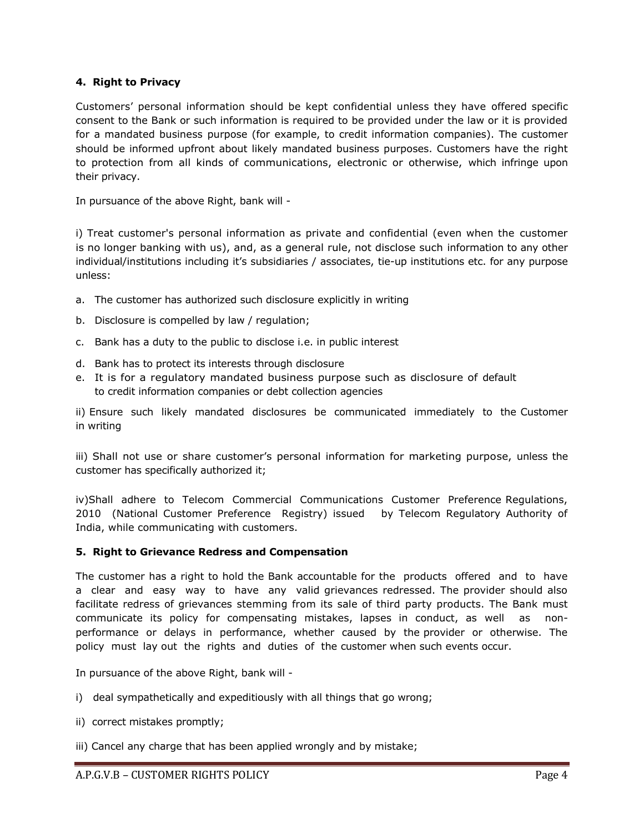## **4. Right to Privacy**

Customers' personal information should be kept confidential unless they have offered specific consent to the Bank or such information is required to be provided under the law or it is provided for a mandated business purpose (for example, to credit information companies). The customer should be informed upfront about likely mandated business purposes. Customers have the right to protection from all kinds of communications, electronic or otherwise, which infringe upon their privacy.

In pursuance of the above Right, bank will -

i) Treat customer's personal information as private and confidential (even when the customer is no longer banking with us), and, as a general rule, not disclose such information to any other individual/institutions including it's subsidiaries / associates, tie-up institutions etc. for any purpose unless:

- a. The customer has authorized such disclosure explicitly in writing
- b. Disclosure is compelled by law / regulation;
- c. Bank has a duty to the public to disclose i.e. in public interest
- d. Bank has to protect its interests through disclosure
- e. It is for a regulatory mandated business purpose such as disclosure of default to credit information companies or debt collection agencies

ii) Ensure such likely mandated disclosures be communicated immediately to the Customer in writing

iii) Shall not use or share customer's personal information for marketing purpose, unless the customer has specifically authorized it;

iv)Shall adhere to Telecom Commercial Communications Customer Preference Regulations, 2010 (National Customer Preference Registry) issued by Telecom Regulatory Authority of India, while communicating with customers.

### **5. Right to Grievance Redress and Compensation**

The customer has a right to hold the Bank accountable for the products offered and to have a clear and easy way to have any valid grievances redressed. The provider should also facilitate redress of grievances stemming from its sale of third party products. The Bank must communicate its policy for compensating mistakes, lapses in conduct, as well as nonperformance or delays in performance, whether caused by the provider or otherwise. The policy must lay out the rights and duties of the customer when such events occur.

In pursuance of the above Right, bank will -

- i) deal sympathetically and expeditiously with all things that go wrong;
- ii) correct mistakes promptly;
- iii) Cancel any charge that has been applied wrongly and by mistake;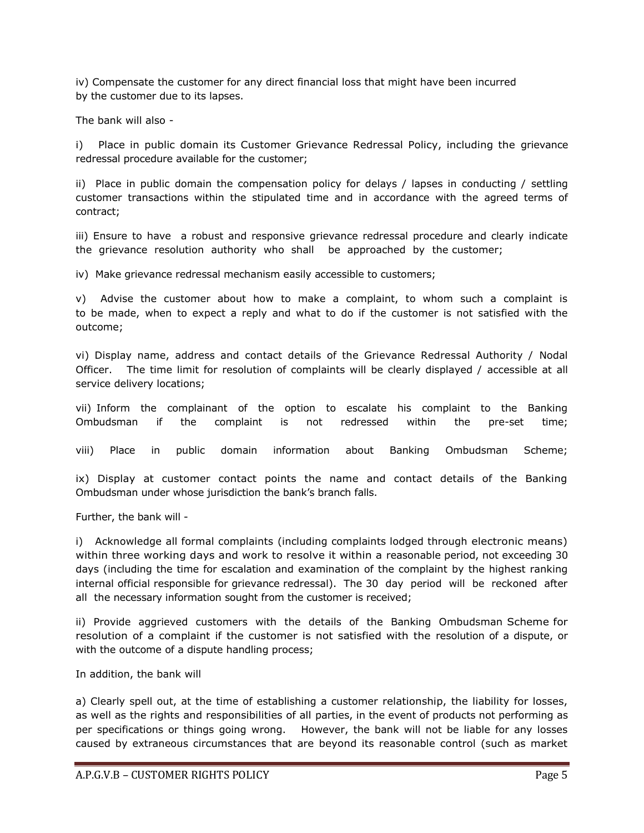iv) Compensate the customer for any direct financial loss that might have been incurred by the customer due to its lapses.

The bank will also -

i) Place in public domain its Customer Grievance Redressal Policy, including the grievance redressal procedure available for the customer;

ii) Place in public domain the compensation policy for delays / lapses in conducting / settling customer transactions within the stipulated time and in accordance with the agreed terms of contract;

iii) Ensure to have a robust and responsive grievance redressal procedure and clearly indicate the grievance resolution authority who shall be approached by the customer;

iv) Make grievance redressal mechanism easily accessible to customers;

v) Advise the customer about how to make a complaint, to whom such a complaint is to be made, when to expect a reply and what to do if the customer is not satisfied with the outcome;

vi) Display name, address and contact details of the Grievance Redressal Authority / Nodal Officer. The time limit for resolution of complaints will be clearly displayed / accessible at all service delivery locations;

vii) Inform the complainant of the option to escalate his complaint to the Banking Ombudsman if the complaint is not redressed within the pre-set time;

viii) Place in public domain information about Banking Ombudsman Scheme;

ix) Display at customer contact points the name and contact details of the Banking Ombudsman under whose jurisdiction the bank's branch falls.

Further, the bank will -

i) Acknowledge all formal complaints (including complaints lodged through electronic means) within three working days and work to resolve it within a reasonable period, not exceeding 30 days (including the time for escalation and examination of the complaint by the highest ranking internal official responsible for grievance redressal). The 30 day period will be reckoned after all the necessary information sought from the customer is received;

ii) Provide aggrieved customers with the details of the Banking Ombudsman Scheme for resolution of a complaint if the customer is not satisfied with the resolution of a dispute, or with the outcome of a dispute handling process;

In addition, the bank will

a) Clearly spell out, at the time of establishing a customer relationship, the liability for losses, as well as the rights and responsibilities of all parties, in the event of products not performing as per specifications or things going wrong. However, the bank will not be liable for any losses caused by extraneous circumstances that are beyond its reasonable control (such as market